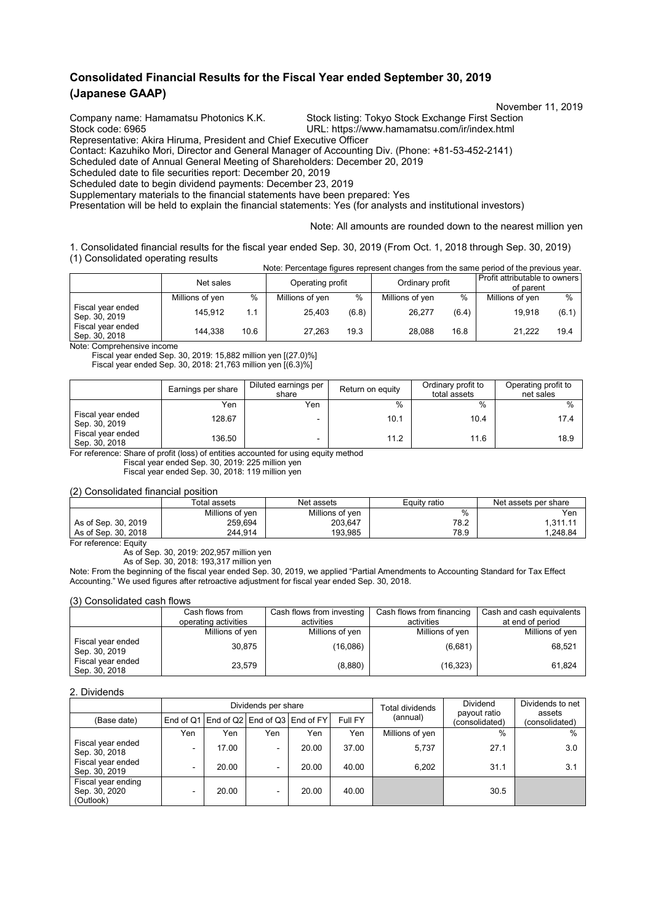## **Consolidated Financial Results for the Fiscal Year ended September 30, 2019 (Japanese GAAP)**

November 11, 2019<br>Company name: Hamamatsu Photonics K.K. Stock listing: Tokyo Stock Exchange First Section

Stock listing: Tokyo Stock Exchange First Section Stock code: 6965 URL: https://www.hamamatsu.com/ir/index.html Representative: Akira Hiruma, President and Chief Executive Officer

Contact: Kazuhiko Mori, Director and General Manager of Accounting Div. (Phone: +81-53-452-2141)

Scheduled date of Annual General Meeting of Shareholders: December 20, 2019

Scheduled date to file securities report: December 20, 2019

Scheduled date to begin dividend payments: December 23, 2019

Supplementary materials to the financial statements have been prepared: Yes

Presentation will be held to explain the financial statements: Yes (for analysts and institutional investors)

Note: All amounts are rounded down to the nearest million yen

1. Consolidated financial results for the fiscal year ended Sep. 30, 2019 (From Oct. 1, 2018 through Sep. 30, 2019) (1) Consolidated operating results Note: Percentage figures represent changes from the same period of the previous year.

|                                    | Net sales       |      | Operating profit |       | Ordinary profit |       | Profit attributable to owners<br>of parent |       |
|------------------------------------|-----------------|------|------------------|-------|-----------------|-------|--------------------------------------------|-------|
|                                    | Millions of yen | $\%$ | Millions of yen  | %     | Millions of yen | $\%$  | Millions of yen                            | $\%$  |
| Fiscal year ended<br>Sep. 30, 2019 | 145.912         | 1.1  | 25.403           | (6.8) | 26,277          | (6.4) | 19.918                                     | (6.1) |
| Fiscal year ended<br>Sep. 30, 2018 | 144.338         | 10.6 | 27.263           | 19.3  | 28.088          | 16.8  | 21.222                                     | 19.4  |

Note: Comprehensive income

Fiscal year ended Sep. 30, 2019: 15,882 million yen [(27.0)%]

Fiscal year ended Sep. 30, 2018: 21,763 million yen [(6.3)%]

|                                    | Earnings per share | Diluted earnings per<br>share | Return on equity | Ordinary profit to<br>total assets | Operating profit to<br>net sales |
|------------------------------------|--------------------|-------------------------------|------------------|------------------------------------|----------------------------------|
|                                    | Yen                | Yen                           | $\%$             | $\%$                               | $\frac{0}{0}$                    |
| Fiscal year ended<br>Sep. 30, 2019 | 128.67             |                               | 10.1             | 10.4                               | 17.4                             |
| Fiscal year ended<br>Sep. 30, 2018 | 136.50             |                               | 11.2             | 11.6                               | 18.9                             |

For reference: Share of profit (loss) of entities accounted for using equity method

Fiscal year ended Sep. 30, 2019: 225 million yen

Fiscal year ended Sep. 30, 2018: 119 million yen

(2) Consolidated financial position

|                     | Total assets    | Net assets      | Equity ratio | Net assets per share |
|---------------------|-----------------|-----------------|--------------|----------------------|
|                     | Millions of ven | Millions of yen | %            | Yen                  |
| As of Sep. 30, 2019 | 259.694         | 203.647         | 78.2         | 1.311.11             |
| As of Sep. 30, 2018 | 244.914         | 193.985         | 78.9         | .248.84              |

For reference: Equity

As of Sep. 30, 2019: 202,957 million yen

As of Sep. 30, 2018: 193,317 million yen

Note: From the beginning of the fiscal year ended Sep. 30, 2019, we applied "Partial Amendments to Accounting Standard for Tax Effect Accounting." We used figures after retroactive adjustment for fiscal year ended Sep. 30, 2018.

(3) Consolidated cash flows

|                                    | Cash flows from      | Cash flows from investing | Cash flows from financing | Cash and cash equivalents |
|------------------------------------|----------------------|---------------------------|---------------------------|---------------------------|
|                                    | operating activities | activities                | activities                | at end of period          |
|                                    | Millions of yen      | Millions of yen           | Millions of yen           | Millions of yen           |
| Fiscal year ended<br>Sep. 30, 2019 | 30.875               | (16,086)                  | (6,681)                   | 68,521                    |
| Fiscal year ended<br>Sep. 30, 2018 | 23.579               | (8,880)                   | (16, 323)                 | 61,824                    |

#### 2. Dividends

|                                                  |     |       | Dividends per share |                                               |         | Total dividends | Dividends to net<br>assets     |                |
|--------------------------------------------------|-----|-------|---------------------|-----------------------------------------------|---------|-----------------|--------------------------------|----------------|
| (Base date)                                      |     |       |                     | End of Q1   End of Q2   End of Q3   End of FY | Full FY | (annual)        | payout ratio<br>(consolidated) | (consolidated) |
|                                                  | Yen | Yen   | Yen                 | Yen                                           | Yen     | Millions of yen | $\frac{0}{0}$                  | $\%$           |
| Fiscal year ended<br>Sep. 30, 2018               |     | 17.00 | -                   | 20.00                                         | 37.00   | 5.737           | 27.1                           | 3.0            |
| Fiscal year ended<br>Sep. 30, 2019               |     | 20.00 | -                   | 20.00                                         | 40.00   | 6.202           | 31.1                           | 3.1            |
| Fiscal year ending<br>Sep. 30, 2020<br>(Outlook) |     | 20.00 | -                   | 20.00                                         | 40.00   |                 | 30.5                           |                |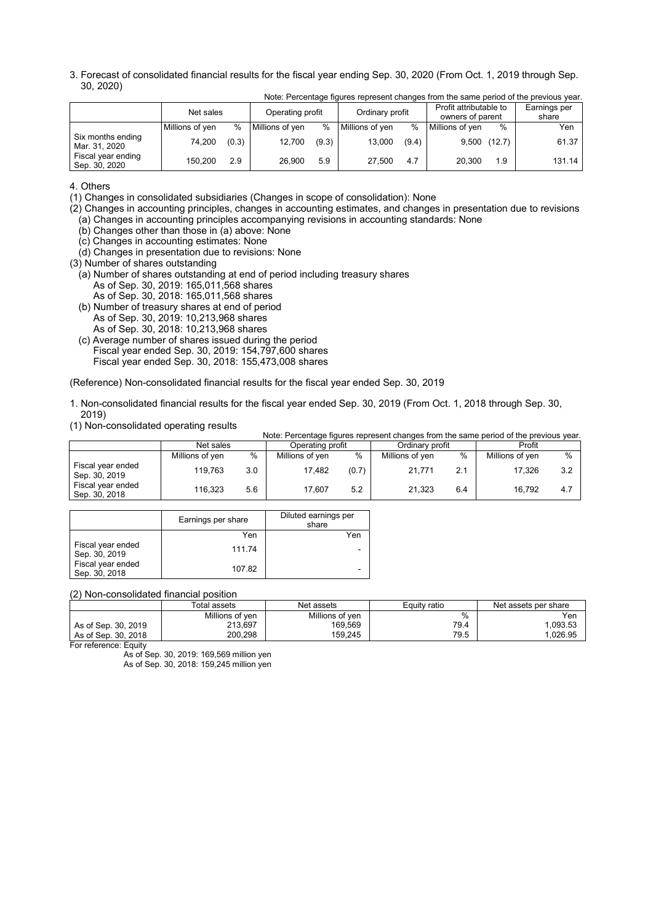3. Forecast of consolidated financial results for the fiscal year ending Sep. 30, 2020 (From Oct. 1, 2019 through Sep. 30, 2020)

|                                     | Net sales       |       | Operating profit |               | Ordinary profit |       | Profit attributable to<br>owners of parent |     | Earnings per<br>share |
|-------------------------------------|-----------------|-------|------------------|---------------|-----------------|-------|--------------------------------------------|-----|-----------------------|
|                                     | Millions of yen | $\%$  | Millions of yen  | $\frac{0}{0}$ | Millions of yen | $\%$  | Millions of yen                            | %   | Yen                   |
| Six months ending<br>Mar. 31, 2020  | 74,200          | (0.3) | 12,700           | (9.3)         | 13,000          | (9.4) | $9,500$ (12.7)                             |     | 61.37                 |
| Fiscal year ending<br>Sep. 30, 2020 | 150.200         | 2.9   | 26.900           | 5.9           | 27.500          | 4.7   | 20.300                                     | 1.9 | 131.14                |

Note: Percentage figures represent changes from the same period of the previous year.

4. Others

(1) Changes in consolidated subsidiaries (Changes in scope of consolidation): None

(2) Changes in accounting principles, changes in accounting estimates, and changes in presentation due to revisions (a) Changes in accounting principles accompanying revisions in accounting standards: None

(b) Changes other than those in (a) above: None

- (c) Changes in accounting estimates: None
- (d) Changes in presentation due to revisions: None
- (3) Number of shares outstanding
- (a) Number of shares outstanding at end of period including treasury shares As of Sep. 30, 2019: 165,011,568 shares
	- As of Sep. 30, 2018: 165,011,568 shares
- (b) Number of treasury shares at end of period As of Sep. 30, 2019: 10,213,968 shares As of Sep. 30, 2018: 10,213,968 shares
- (c) Average number of shares issued during the period Fiscal year ended Sep. 30, 2019: 154,797,600 shares Fiscal year ended Sep. 30, 2018: 155,473,008 shares

(Reference) Non-consolidated financial results for the fiscal year ended Sep. 30, 2019

- 1. Non-consolidated financial results for the fiscal year ended Sep. 30, 2019 (From Oct. 1, 2018 through Sep. 30, 2019)
- (1) Non-consolidated operating results

|                                    |                 |     |                  |       |                 |      | Note: Percentage figures represent changes from the same period of the previous year. |     |
|------------------------------------|-----------------|-----|------------------|-------|-----------------|------|---------------------------------------------------------------------------------------|-----|
|                                    | Net sales       |     | Operating profit |       | Ordinary profit |      | Profit                                                                                |     |
|                                    | Millions of yen | %   | Millions of yen  | %     | Millions of yen | $\%$ | Millions of yen                                                                       | %   |
| Fiscal year ended<br>Sep. 30, 2019 | 119.763         | 3.0 | 17.482           | (0.7) | 21.771          | 2.1  | 17.326                                                                                | 3.2 |
| Fiscal year ended<br>Sep. 30, 2018 | 116.323         | 5.6 | 17.607           | 5.2   | 21.323          | 6.4  | 16.792                                                                                | 4.7 |

|                                    | Earnings per share | Diluted earnings per<br>share |
|------------------------------------|--------------------|-------------------------------|
|                                    | Yen                | Yen                           |
| Fiscal year ended<br>Sep. 30, 2019 | 111.74             |                               |
| Fiscal year ended<br>Sep. 30, 2018 | 107.82             |                               |

(2) Non-consolidated financial position

|                          | Total assets    | Net assets      | Equity ratio | Net assets per share |
|--------------------------|-----------------|-----------------|--------------|----------------------|
|                          | Millions of ven | Millions of yen | %            | Yen                  |
| As of Sep. 30, 2019      | 213.697         | 169,569         | 79.4         | ,093.53              |
| As of Sep. 30, 2018      | 200.298         | 159.245         | 79.5         | .026.95              |
| Fax esfavora a - Familio |                 |                 |              |                      |

For reference: Equit

As of Sep. 30, 2019: 169,569 million yen

As of Sep. 30, 2018: 159,245 million yen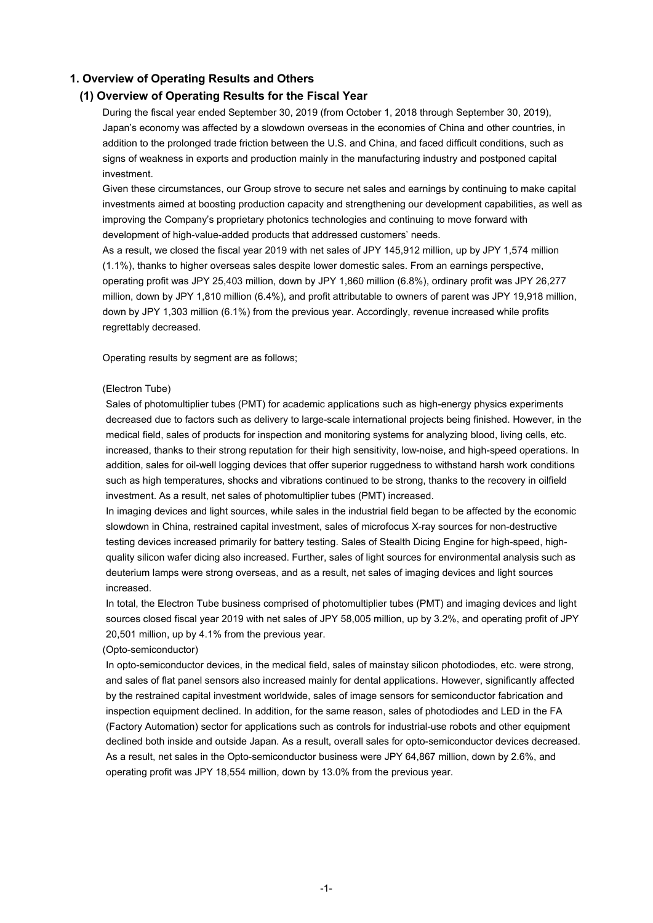### **1. Overview of Operating Results and Others**

#### **(1) Overview of Operating Results for the Fiscal Year**

During the fiscal year ended September 30, 2019 (from October 1, 2018 through September 30, 2019), Japan's economy was affected by a slowdown overseas in the economies of China and other countries, in addition to the prolonged trade friction between the U.S. and China, and faced difficult conditions, such as signs of weakness in exports and production mainly in the manufacturing industry and postponed capital investment.

Given these circumstances, our Group strove to secure net sales and earnings by continuing to make capital investments aimed at boosting production capacity and strengthening our development capabilities, as well as improving the Company's proprietary photonics technologies and continuing to move forward with development of high-value-added products that addressed customers' needs.

As a result, we closed the fiscal year 2019 with net sales of JPY 145,912 million, up by JPY 1,574 million (1.1%), thanks to higher overseas sales despite lower domestic sales. From an earnings perspective, operating profit was JPY 25,403 million, down by JPY 1,860 million (6.8%), ordinary profit was JPY 26,277 million, down by JPY 1,810 million (6.4%), and profit attributable to owners of parent was JPY 19,918 million, down by JPY 1,303 million (6.1%) from the previous year. Accordingly, revenue increased while profits regrettably decreased.

Operating results by segment are as follows;

#### (Electron Tube)

Sales of photomultiplier tubes (PMT) for academic applications such as high-energy physics experiments decreased due to factors such as delivery to large-scale international projects being finished. However, in the medical field, sales of products for inspection and monitoring systems for analyzing blood, living cells, etc. increased, thanks to their strong reputation for their high sensitivity, low-noise, and high-speed operations. In addition, sales for oil-well logging devices that offer superior ruggedness to withstand harsh work conditions such as high temperatures, shocks and vibrations continued to be strong, thanks to the recovery in oilfield investment. As a result, net sales of photomultiplier tubes (PMT) increased.

In imaging devices and light sources, while sales in the industrial field began to be affected by the economic slowdown in China, restrained capital investment, sales of microfocus X-ray sources for non-destructive testing devices increased primarily for battery testing. Sales of Stealth Dicing Engine for high-speed, highquality silicon wafer dicing also increased. Further, sales of light sources for environmental analysis such as deuterium lamps were strong overseas, and as a result, net sales of imaging devices and light sources increased.

In total, the Electron Tube business comprised of photomultiplier tubes (PMT) and imaging devices and light sources closed fiscal year 2019 with net sales of JPY 58,005 million, up by 3.2%, and operating profit of JPY 20,501 million, up by 4.1% from the previous year.

#### (Opto-semiconductor)

In opto-semiconductor devices, in the medical field, sales of mainstay silicon photodiodes, etc. were strong, and sales of flat panel sensors also increased mainly for dental applications. However, significantly affected by the restrained capital investment worldwide, sales of image sensors for semiconductor fabrication and inspection equipment declined. In addition, for the same reason, sales of photodiodes and LED in the FA (Factory Automation) sector for applications such as controls for industrial-use robots and other equipment declined both inside and outside Japan. As a result, overall sales for opto-semiconductor devices decreased. As a result, net sales in the Opto-semiconductor business were JPY 64,867 million, down by 2.6%, and operating profit was JPY 18,554 million, down by 13.0% from the previous year.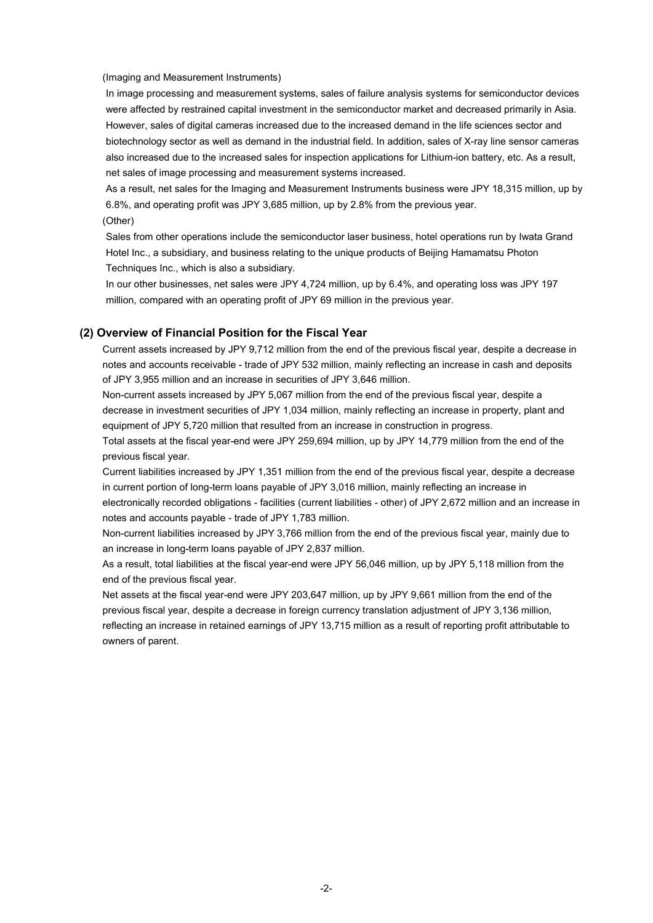#### (Imaging and Measurement Instruments)

In image processing and measurement systems, sales of failure analysis systems for semiconductor devices were affected by restrained capital investment in the semiconductor market and decreased primarily in Asia. However, sales of digital cameras increased due to the increased demand in the life sciences sector and biotechnology sector as well as demand in the industrial field. In addition, sales of X-ray line sensor cameras also increased due to the increased sales for inspection applications for Lithium-ion battery, etc. As a result, net sales of image processing and measurement systems increased.

As a result, net sales for the Imaging and Measurement Instruments business were JPY 18,315 million, up by 6.8%, and operating profit was JPY 3,685 million, up by 2.8% from the previous year.

(Other)

Sales from other operations include the semiconductor laser business, hotel operations run by Iwata Grand Hotel Inc., a subsidiary, and business relating to the unique products of Beijing Hamamatsu Photon Techniques Inc., which is also a subsidiary.

In our other businesses, net sales were JPY 4,724 million, up by 6.4%, and operating loss was JPY 197 million, compared with an operating profit of JPY 69 million in the previous year.

#### **(2) Overview of Financial Position for the Fiscal Year**

Current assets increased by JPY 9,712 million from the end of the previous fiscal year, despite a decrease in notes and accounts receivable - trade of JPY 532 million, mainly reflecting an increase in cash and deposits of JPY 3,955 million and an increase in securities of JPY 3,646 million.

Non-current assets increased by JPY 5,067 million from the end of the previous fiscal year, despite a decrease in investment securities of JPY 1,034 million, mainly reflecting an increase in property, plant and equipment of JPY 5,720 million that resulted from an increase in construction in progress.

Total assets at the fiscal year-end were JPY 259,694 million, up by JPY 14,779 million from the end of the previous fiscal year.

Current liabilities increased by JPY 1,351 million from the end of the previous fiscal year, despite a decrease in current portion of long-term loans payable of JPY 3,016 million, mainly reflecting an increase in

electronically recorded obligations - facilities (current liabilities - other) of JPY 2,672 million and an increase in notes and accounts payable - trade of JPY 1,783 million.

Non-current liabilities increased by JPY 3,766 million from the end of the previous fiscal year, mainly due to an increase in long-term loans payable of JPY 2,837 million.

As a result, total liabilities at the fiscal year-end were JPY 56,046 million, up by JPY 5,118 million from the end of the previous fiscal year.

Net assets at the fiscal year-end were JPY 203,647 million, up by JPY 9,661 million from the end of the previous fiscal year, despite a decrease in foreign currency translation adjustment of JPY 3,136 million, reflecting an increase in retained earnings of JPY 13,715 million as a result of reporting profit attributable to owners of parent.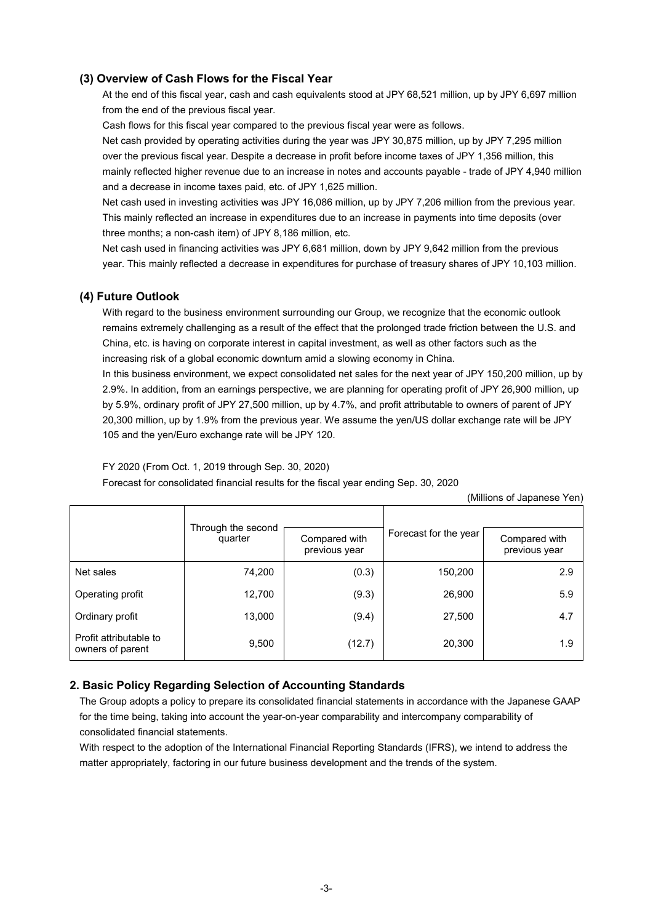### **(3) Overview of Cash Flows for the Fiscal Year**

At the end of this fiscal year, cash and cash equivalents stood at JPY 68,521 million, up by JPY 6,697 million from the end of the previous fiscal year.

Cash flows for this fiscal year compared to the previous fiscal year were as follows.

Net cash provided by operating activities during the year was JPY 30,875 million, up by JPY 7,295 million over the previous fiscal year. Despite a decrease in profit before income taxes of JPY 1,356 million, this mainly reflected higher revenue due to an increase in notes and accounts payable - trade of JPY 4,940 million and a decrease in income taxes paid, etc. of JPY 1,625 million.

Net cash used in investing activities was JPY 16,086 million, up by JPY 7,206 million from the previous year. This mainly reflected an increase in expenditures due to an increase in payments into time deposits (over three months; a non-cash item) of JPY 8,186 million, etc.

Net cash used in financing activities was JPY 6,681 million, down by JPY 9,642 million from the previous year. This mainly reflected a decrease in expenditures for purchase of treasury shares of JPY 10,103 million.

### **(4) Future Outlook**

With regard to the business environment surrounding our Group, we recognize that the economic outlook remains extremely challenging as a result of the effect that the prolonged trade friction between the U.S. and China, etc. is having on corporate interest in capital investment, as well as other factors such as the increasing risk of a global economic downturn amid a slowing economy in China.

In this business environment, we expect consolidated net sales for the next year of JPY 150,200 million, up by 2.9%. In addition, from an earnings perspective, we are planning for operating profit of JPY 26,900 million, up by 5.9%, ordinary profit of JPY 27,500 million, up by 4.7%, and profit attributable to owners of parent of JPY 20,300 million, up by 1.9% from the previous year. We assume the yen/US dollar exchange rate will be JPY 105 and the yen/Euro exchange rate will be JPY 120.

FY 2020 (From Oct. 1, 2019 through Sep. 30, 2020)

Forecast for consolidated financial results for the fiscal year ending Sep. 30, 2020

(Millions of Japanese Yen)

|                                            | Through the second<br>quarter | Compared with<br>previous year | Forecast for the year | Compared with<br>previous year |
|--------------------------------------------|-------------------------------|--------------------------------|-----------------------|--------------------------------|
| Net sales                                  | 74,200                        | (0.3)                          | 150,200               | 2.9                            |
| Operating profit                           | 12,700                        | (9.3)                          | 26,900                | 5.9                            |
| Ordinary profit                            | 13,000                        | (9.4)                          | 27,500                | 4.7                            |
| Profit attributable to<br>owners of parent | 9,500                         | (12.7)                         | 20,300                | 1.9                            |

### **2. Basic Policy Regarding Selection of Accounting Standards**

The Group adopts a policy to prepare its consolidated financial statements in accordance with the Japanese GAAP for the time being, taking into account the year-on-year comparability and intercompany comparability of consolidated financial statements.

With respect to the adoption of the International Financial Reporting Standards (IFRS), we intend to address the matter appropriately, factoring in our future business development and the trends of the system.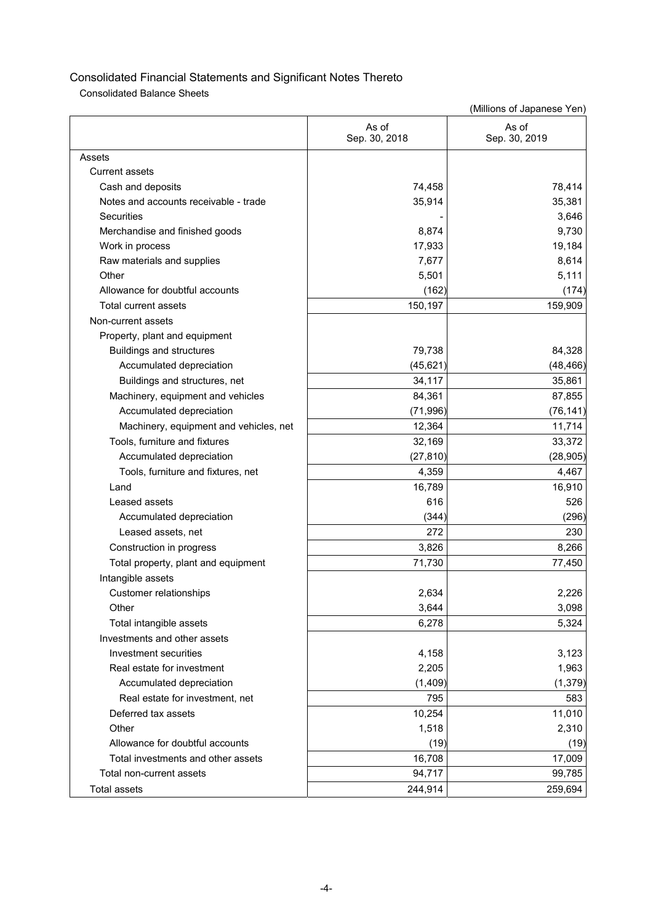Consolidated Balance Sheets

|                                        | As of<br>Sep. 30, 2018 | As of<br>Sep. 30, 2019 |
|----------------------------------------|------------------------|------------------------|
| Assets                                 |                        |                        |
| <b>Current assets</b>                  |                        |                        |
| Cash and deposits                      | 74,458                 | 78,414                 |
| Notes and accounts receivable - trade  | 35,914                 | 35,381                 |
| Securities                             |                        | 3,646                  |
| Merchandise and finished goods         | 8,874                  | 9,730                  |
| Work in process                        | 17,933                 | 19,184                 |
| Raw materials and supplies             | 7,677                  | 8,614                  |
| Other                                  | 5,501                  | 5,111                  |
| Allowance for doubtful accounts        | (162)                  | (174)                  |
| Total current assets                   | 150,197                | 159,909                |
| Non-current assets                     |                        |                        |
| Property, plant and equipment          |                        |                        |
| <b>Buildings and structures</b>        | 79,738                 | 84,328                 |
| Accumulated depreciation               | (45, 621)              | (48, 466)              |
| Buildings and structures, net          | 34,117                 | 35,861                 |
| Machinery, equipment and vehicles      | 84,361                 | 87,855                 |
| Accumulated depreciation               | (71, 996)              | (76, 141)              |
| Machinery, equipment and vehicles, net | 12,364                 | 11,714                 |
| Tools, furniture and fixtures          | 32,169                 | 33,372                 |
| Accumulated depreciation               | (27, 810)              | (28, 905)              |
| Tools, furniture and fixtures, net     | 4,359                  | 4,467                  |
| Land                                   | 16,789                 | 16,910                 |
| Leased assets                          | 616                    | 526                    |
| Accumulated depreciation               | (344)                  | (296)                  |
| Leased assets, net                     | 272                    | 230                    |
| Construction in progress               | 3,826                  | 8,266                  |
| Total property, plant and equipment    | 71,730                 | 77,450                 |
| Intangible assets                      |                        |                        |
| Customer relationships                 | 2,634                  | 2,226                  |
| Other                                  | 3,644                  | 3,098                  |
| Total intangible assets                | 6,278                  | 5,324                  |
| Investments and other assets           |                        |                        |
| Investment securities                  | 4,158                  | 3,123                  |
| Real estate for investment             | 2,205                  | 1,963                  |
| Accumulated depreciation               | (1, 409)               | (1, 379)               |
| Real estate for investment, net        | 795                    | 583                    |
| Deferred tax assets                    | 10,254                 | 11,010                 |
| Other                                  | 1,518                  | 2,310                  |
| Allowance for doubtful accounts        | (19)                   | (19)                   |
| Total investments and other assets     | 16,708                 | 17,009                 |
| Total non-current assets               | 94,717                 | 99,785                 |
| <b>Total assets</b>                    | 244,914                | 259,694                |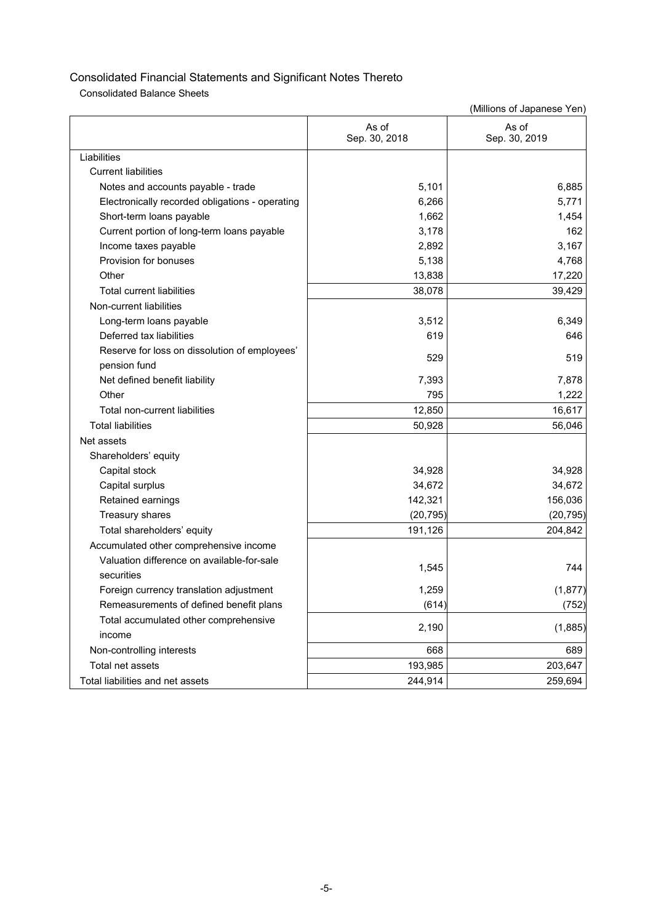Consolidated Balance Sheets

|                                                 | As of<br>Sep. 30, 2018 | As of<br>Sep. 30, 2019 |
|-------------------------------------------------|------------------------|------------------------|
| Liabilities                                     |                        |                        |
| <b>Current liabilities</b>                      |                        |                        |
| Notes and accounts payable - trade              | 5,101                  | 6,885                  |
| Electronically recorded obligations - operating | 6,266                  | 5,771                  |
| Short-term loans payable                        | 1,662                  | 1,454                  |
| Current portion of long-term loans payable      | 3,178                  | 162                    |
| Income taxes payable                            | 2,892                  | 3,167                  |
| Provision for bonuses                           | 5,138                  | 4,768                  |
| Other                                           | 13,838                 | 17,220                 |
| <b>Total current liabilities</b>                | 38,078                 | 39,429                 |
| Non-current liabilities                         |                        |                        |
| Long-term loans payable                         | 3,512                  | 6.349                  |
| Deferred tax liabilities                        | 619                    | 646                    |
| Reserve for loss on dissolution of employees'   | 529                    | 519                    |
| pension fund                                    |                        |                        |
| Net defined benefit liability                   | 7,393                  | 7,878                  |
| Other                                           | 795                    | 1,222                  |
| Total non-current liabilities                   | 12,850                 | 16,617                 |
| <b>Total liabilities</b>                        | 50,928                 | 56,046                 |
| Net assets                                      |                        |                        |
| Shareholders' equity                            |                        |                        |
| Capital stock                                   | 34,928                 | 34,928                 |
| Capital surplus                                 | 34,672                 | 34,672                 |
| Retained earnings                               | 142,321                | 156,036                |
| Treasury shares                                 | (20, 795)              | (20, 795)              |
| Total shareholders' equity                      | 191,126                | 204,842                |
| Accumulated other comprehensive income          |                        |                        |
| Valuation difference on available-for-sale      | 1,545                  | 744                    |
| securities                                      |                        |                        |
| Foreign currency translation adjustment         | 1,259                  | (1, 877)               |
| Remeasurements of defined benefit plans         | (614)                  | (752)                  |
| Total accumulated other comprehensive           |                        |                        |
| income                                          | 2,190                  | (1,885)                |
| Non-controlling interests                       | 668                    | 689                    |
| Total net assets                                | 193,985                | 203,647                |
| Total liabilities and net assets                | 244,914                | 259,694                |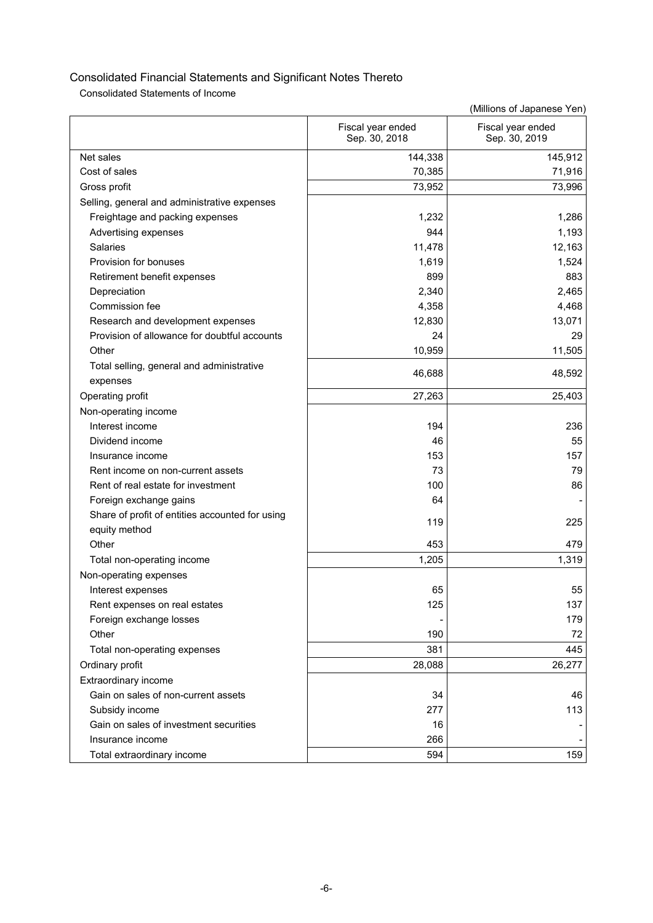Consolidated Statements of Income

|                                                                           | Fiscal year ended<br>Sep. 30, 2018 | Fiscal year ended<br>Sep. 30, 2019 |
|---------------------------------------------------------------------------|------------------------------------|------------------------------------|
| Net sales                                                                 | 144,338                            | 145,912                            |
| Cost of sales                                                             | 70,385                             | 71,916                             |
| Gross profit                                                              | 73,952                             | 73,996                             |
| Selling, general and administrative expenses                              |                                    |                                    |
| Freightage and packing expenses                                           | 1,232                              | 1,286                              |
| Advertising expenses                                                      | 944                                | 1,193                              |
| <b>Salaries</b>                                                           | 11,478                             | 12,163                             |
| Provision for bonuses                                                     | 1,619                              | 1,524                              |
| Retirement benefit expenses                                               | 899                                | 883                                |
| Depreciation                                                              | 2,340                              | 2,465                              |
| Commission fee                                                            | 4,358                              | 4,468                              |
| Research and development expenses                                         | 12,830                             | 13,071                             |
| Provision of allowance for doubtful accounts                              | 24                                 | 29                                 |
| Other                                                                     | 10,959                             | 11,505                             |
| Total selling, general and administrative<br>expenses                     | 46,688                             | 48,592                             |
| Operating profit                                                          | 27,263                             | 25,403                             |
| Non-operating income                                                      |                                    |                                    |
| Interest income                                                           | 194                                | 236                                |
| Dividend income                                                           | 46                                 | 55                                 |
| Insurance income                                                          | 153                                | 157                                |
| Rent income on non-current assets                                         | 73                                 | 79                                 |
| Rent of real estate for investment                                        | 100                                | 86                                 |
|                                                                           | 64                                 |                                    |
| Foreign exchange gains<br>Share of profit of entities accounted for using |                                    |                                    |
| equity method                                                             | 119                                | 225                                |
| Other                                                                     | 453                                | 479                                |
| Total non-operating income                                                | 1,205                              | 1,319                              |
|                                                                           |                                    |                                    |
| Non-operating expenses                                                    | 65                                 | 55                                 |
| Interest expenses<br>Rent expenses on real estates                        | 125                                | 137                                |
| Foreign exchange losses                                                   |                                    | 179                                |
| Other                                                                     | 190                                | 72                                 |
|                                                                           | 381                                | 445                                |
| Total non-operating expenses                                              |                                    |                                    |
| Ordinary profit                                                           | 28,088                             | 26,277                             |
| Extraordinary income                                                      |                                    |                                    |
| Gain on sales of non-current assets                                       | 34                                 | 46                                 |
| Subsidy income                                                            | 277                                | 113                                |
| Gain on sales of investment securities                                    | 16                                 |                                    |
| Insurance income                                                          | 266                                |                                    |
| Total extraordinary income                                                | 594                                | 159                                |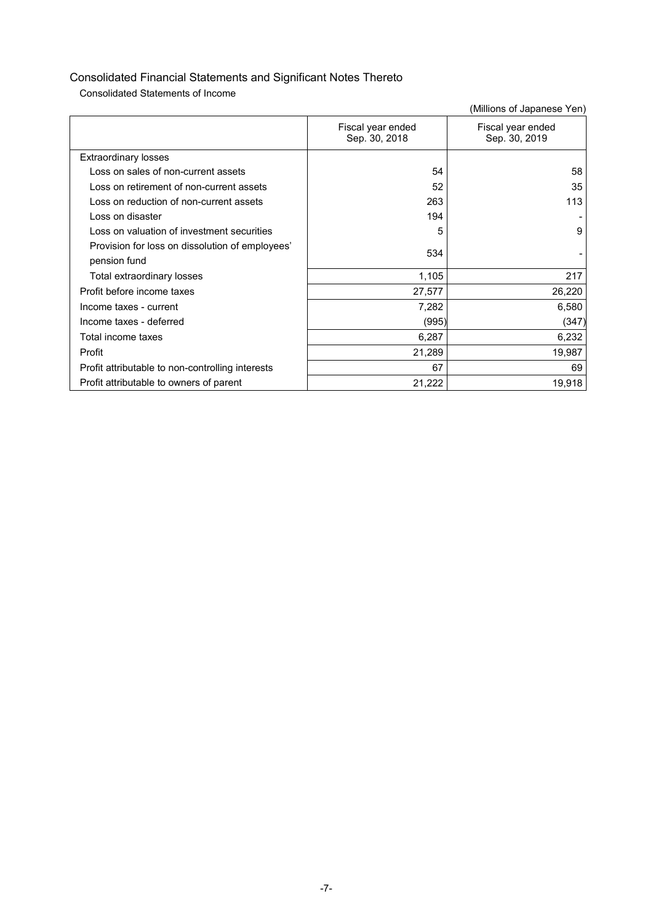Consolidated Statements of Income

|                                                  | Fiscal year ended<br>Sep. 30, 2018 | Fiscal year ended<br>Sep. 30, 2019 |
|--------------------------------------------------|------------------------------------|------------------------------------|
| <b>Extraordinary losses</b>                      |                                    |                                    |
| Loss on sales of non-current assets              | 54                                 | 58                                 |
| Loss on retirement of non-current assets         | 52                                 | 35                                 |
| Loss on reduction of non-current assets          | 263                                | 113                                |
| Loss on disaster                                 | 194                                |                                    |
| Loss on valuation of investment securities       | 5                                  | 9                                  |
| Provision for loss on dissolution of employees'  | 534                                |                                    |
| pension fund                                     |                                    |                                    |
| Total extraordinary losses                       | 1,105                              | 217                                |
| Profit before income taxes                       | 27,577                             | 26,220                             |
| Income taxes - current                           | 7,282                              | 6,580                              |
| Income taxes - deferred                          | (995)                              | (347)                              |
| Total income taxes                               | 6,287                              | 6,232                              |
| Profit                                           | 21,289                             | 19,987                             |
| Profit attributable to non-controlling interests | 67                                 | 69                                 |
| Profit attributable to owners of parent          | 21,222                             | 19,918                             |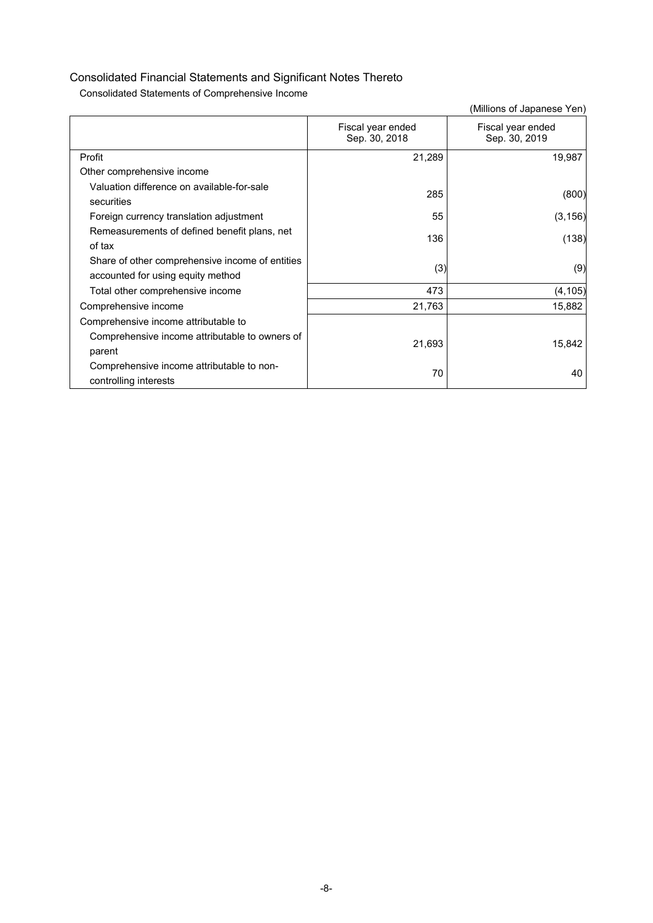Consolidated Statements of Comprehensive Income

|                                                                                      |                                    | (Millions of Japanese Yen)         |
|--------------------------------------------------------------------------------------|------------------------------------|------------------------------------|
|                                                                                      | Fiscal year ended<br>Sep. 30, 2018 | Fiscal year ended<br>Sep. 30, 2019 |
| Profit                                                                               | 21,289                             | 19,987                             |
| Other comprehensive income                                                           |                                    |                                    |
| Valuation difference on available-for-sale<br>securities                             | 285                                | (800)                              |
| Foreign currency translation adjustment                                              | 55                                 | (3, 156)                           |
| Remeasurements of defined benefit plans, net<br>of tax                               | 136                                | (138)                              |
| Share of other comprehensive income of entities<br>accounted for using equity method | (3)                                | (9)                                |
| Total other comprehensive income                                                     | 473                                | (4, 105)                           |
| Comprehensive income                                                                 | 21,763                             | 15,882                             |
| Comprehensive income attributable to                                                 |                                    |                                    |
| Comprehensive income attributable to owners of<br>parent                             | 21,693                             | 15,842                             |
| Comprehensive income attributable to non-<br>controlling interests                   | 70                                 | 40                                 |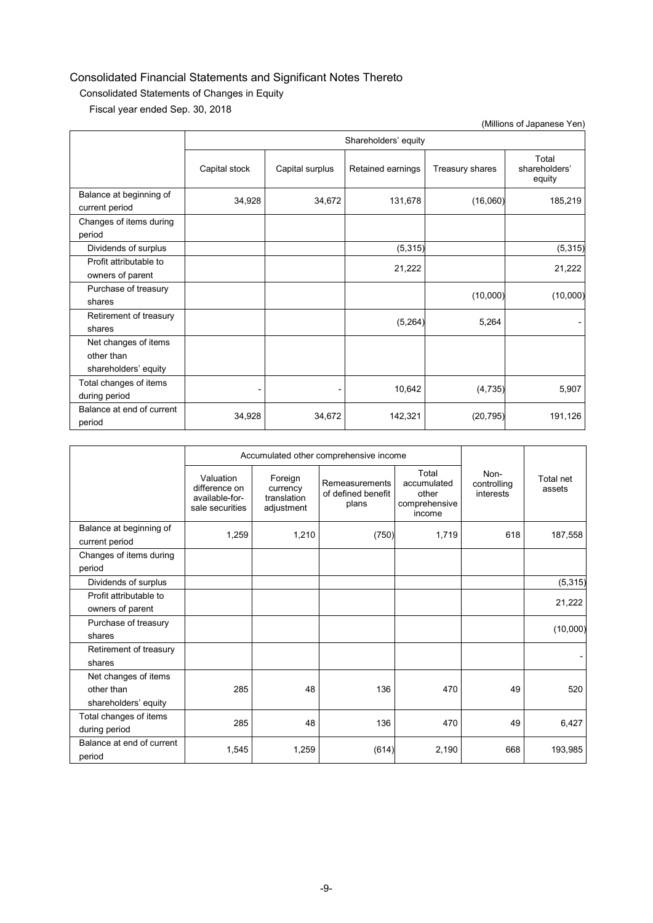### Consolidated Statements of Changes in Equity

Fiscal year ended Sep. 30, 2018

|                                                            |               |                      |                   |                 | (Millions of Japanese Yen)       |  |  |  |
|------------------------------------------------------------|---------------|----------------------|-------------------|-----------------|----------------------------------|--|--|--|
|                                                            |               | Shareholders' equity |                   |                 |                                  |  |  |  |
|                                                            | Capital stock | Capital surplus      | Retained earnings | Treasury shares | Total<br>shareholders'<br>equity |  |  |  |
| Balance at beginning of<br>current period                  | 34,928        | 34,672               | 131,678           | (16,060)        | 185,219                          |  |  |  |
| Changes of items during<br>period                          |               |                      |                   |                 |                                  |  |  |  |
| Dividends of surplus                                       |               |                      | (5, 315)          |                 | (5, 315)                         |  |  |  |
| Profit attributable to<br>owners of parent                 |               |                      | 21,222            |                 | 21,222                           |  |  |  |
| Purchase of treasury<br>shares                             |               |                      |                   | (10,000)        | (10,000)                         |  |  |  |
| Retirement of treasury<br>shares                           |               |                      | (5, 264)          | 5,264           |                                  |  |  |  |
| Net changes of items<br>other than<br>shareholders' equity |               |                      |                   |                 |                                  |  |  |  |
| Total changes of items<br>during period                    |               |                      | 10,642            | (4, 735)        | 5,907                            |  |  |  |
| Balance at end of current<br>period                        | 34,928        | 34,672               | 142,321           | (20, 795)       | 191,126                          |  |  |  |

|                                                            |                                                                 | Accumulated other comprehensive income           |                                               |                                                          |                                  |                     |
|------------------------------------------------------------|-----------------------------------------------------------------|--------------------------------------------------|-----------------------------------------------|----------------------------------------------------------|----------------------------------|---------------------|
|                                                            | Valuation<br>difference on<br>available-for-<br>sale securities | Foreign<br>currency<br>translation<br>adjustment | Remeasurements<br>of defined benefit<br>plans | Total<br>accumulated<br>other<br>comprehensive<br>income | Non-<br>controlling<br>interests | Total net<br>assets |
| Balance at beginning of<br>current period                  | 1,259                                                           | 1,210                                            | (750)                                         | 1,719                                                    | 618                              | 187,558             |
| Changes of items during<br>period                          |                                                                 |                                                  |                                               |                                                          |                                  |                     |
| Dividends of surplus                                       |                                                                 |                                                  |                                               |                                                          |                                  | (5, 315)            |
| Profit attributable to<br>owners of parent                 |                                                                 |                                                  |                                               |                                                          |                                  | 21,222              |
| Purchase of treasury<br>shares                             |                                                                 |                                                  |                                               |                                                          |                                  | (10,000)            |
| Retirement of treasury<br>shares                           |                                                                 |                                                  |                                               |                                                          |                                  |                     |
| Net changes of items<br>other than<br>shareholders' equity | 285                                                             | 48                                               | 136                                           | 470                                                      | 49                               | 520                 |
| Total changes of items<br>during period                    | 285                                                             | 48                                               | 136                                           | 470                                                      | 49                               | 6,427               |
| Balance at end of current<br>period                        | 1,545                                                           | 1,259                                            | (614)                                         | 2,190                                                    | 668                              | 193,985             |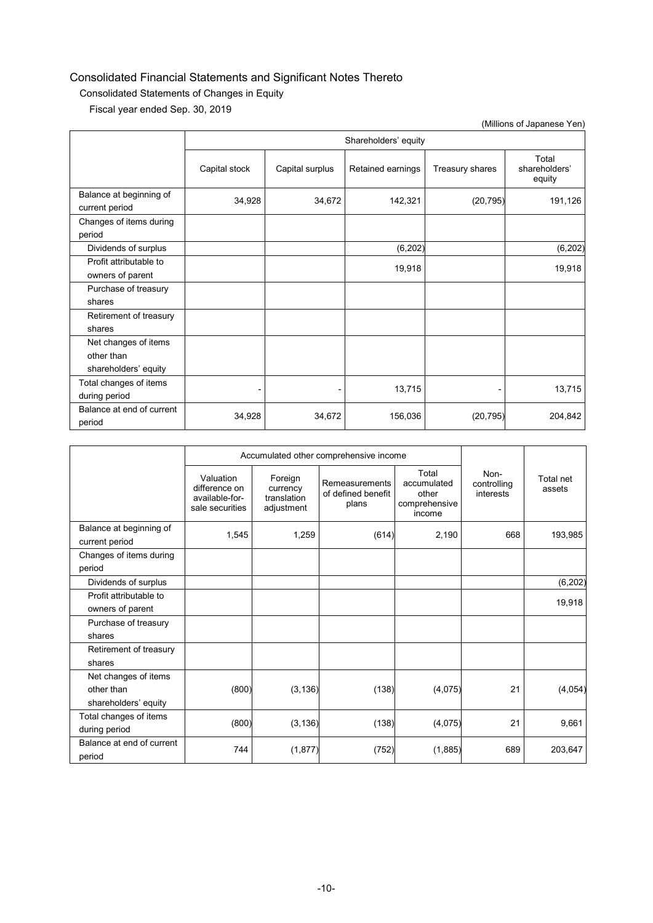### Consolidated Statements of Changes in Equity

Fiscal year ended Sep. 30, 2019

|                                                            |               |                      |                   |                 | (Millions of Japanese Yen)       |  |  |  |
|------------------------------------------------------------|---------------|----------------------|-------------------|-----------------|----------------------------------|--|--|--|
|                                                            |               | Shareholders' equity |                   |                 |                                  |  |  |  |
|                                                            | Capital stock | Capital surplus      | Retained earnings | Treasury shares | Total<br>shareholders'<br>equity |  |  |  |
| Balance at beginning of<br>current period                  | 34,928        | 34,672               | 142,321           | (20, 795)       | 191,126                          |  |  |  |
| Changes of items during<br>period                          |               |                      |                   |                 |                                  |  |  |  |
| Dividends of surplus                                       |               |                      | (6, 202)          |                 | (6, 202)                         |  |  |  |
| Profit attributable to<br>owners of parent                 |               |                      | 19,918            |                 | 19,918                           |  |  |  |
| Purchase of treasury<br>shares                             |               |                      |                   |                 |                                  |  |  |  |
| Retirement of treasury<br>shares                           |               |                      |                   |                 |                                  |  |  |  |
| Net changes of items<br>other than<br>shareholders' equity |               |                      |                   |                 |                                  |  |  |  |
| Total changes of items<br>during period                    |               |                      | 13,715            |                 | 13,715                           |  |  |  |
| Balance at end of current<br>period                        | 34,928        | 34,672               | 156,036           | (20, 795)       | 204,842                          |  |  |  |

|                                           |                                                                 | Accumulated other comprehensive income           |                                               |                                                          |                                  |                     |
|-------------------------------------------|-----------------------------------------------------------------|--------------------------------------------------|-----------------------------------------------|----------------------------------------------------------|----------------------------------|---------------------|
|                                           | Valuation<br>difference on<br>available-for-<br>sale securities | Foreign<br>currency<br>translation<br>adjustment | Remeasurements<br>of defined benefit<br>plans | Total<br>accumulated<br>other<br>comprehensive<br>income | Non-<br>controlling<br>interests | Total net<br>assets |
| Balance at beginning of<br>current period | 1,545                                                           | 1,259                                            | (614)                                         | 2,190                                                    | 668                              | 193,985             |
| Changes of items during<br>period         |                                                                 |                                                  |                                               |                                                          |                                  |                     |
| Dividends of surplus                      |                                                                 |                                                  |                                               |                                                          |                                  | (6, 202)            |
| Profit attributable to                    |                                                                 |                                                  |                                               |                                                          |                                  | 19,918              |
| owners of parent                          |                                                                 |                                                  |                                               |                                                          |                                  |                     |
| Purchase of treasury                      |                                                                 |                                                  |                                               |                                                          |                                  |                     |
| shares                                    |                                                                 |                                                  |                                               |                                                          |                                  |                     |
| Retirement of treasury                    |                                                                 |                                                  |                                               |                                                          |                                  |                     |
| shares                                    |                                                                 |                                                  |                                               |                                                          |                                  |                     |
| Net changes of items                      |                                                                 |                                                  |                                               |                                                          |                                  |                     |
| other than                                | (800)                                                           | (3, 136)                                         | (138)                                         | (4,075)                                                  | 21                               | (4,054)             |
| shareholders' equity                      |                                                                 |                                                  |                                               |                                                          |                                  |                     |
| Total changes of items                    |                                                                 |                                                  |                                               |                                                          |                                  |                     |
| during period                             | (800)                                                           | (3, 136)                                         | (138)                                         | (4,075)                                                  | 21                               | 9,661               |
| Balance at end of current<br>period       | 744                                                             | (1, 877)                                         | (752)                                         | (1, 885)                                                 | 689                              | 203,647             |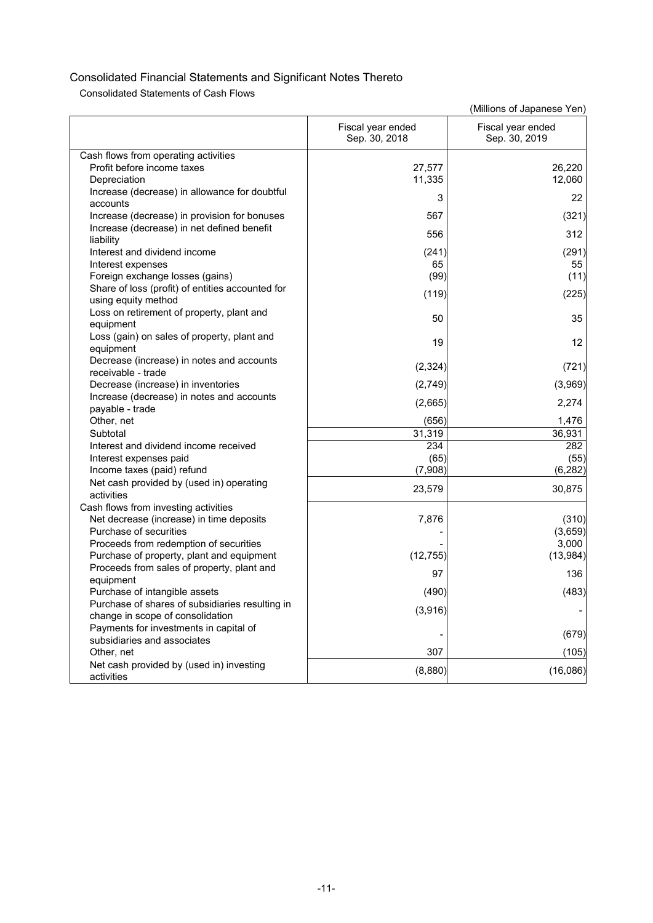Consolidated Statements of Cash Flows

|                                                                                  | Fiscal year ended<br>Sep. 30, 2018 | Fiscal year ended<br>Sep. 30, 2019 |
|----------------------------------------------------------------------------------|------------------------------------|------------------------------------|
| Cash flows from operating activities                                             |                                    |                                    |
| Profit before income taxes                                                       | 27,577                             | 26,220                             |
| Depreciation                                                                     | 11,335                             | 12,060                             |
| Increase (decrease) in allowance for doubtful                                    |                                    |                                    |
| accounts                                                                         | 3                                  | 22                                 |
| Increase (decrease) in provision for bonuses                                     | 567                                | (321)                              |
| Increase (decrease) in net defined benefit                                       | 556                                | 312                                |
| liability                                                                        |                                    |                                    |
| Interest and dividend income                                                     | (241)                              | (291)                              |
| Interest expenses                                                                | 65                                 | 55                                 |
| Foreign exchange losses (gains)                                                  | (99)                               | (11)                               |
| Share of loss (profit) of entities accounted for                                 | (119)                              | (225)                              |
| using equity method                                                              |                                    |                                    |
| Loss on retirement of property, plant and                                        | 50                                 | 35                                 |
| equipment                                                                        |                                    |                                    |
| Loss (gain) on sales of property, plant and                                      | 19                                 | $12 \overline{ }$                  |
| equipment<br>Decrease (increase) in notes and accounts                           |                                    |                                    |
| receivable - trade                                                               | (2, 324)                           | (721)                              |
| Decrease (increase) in inventories                                               | (2,749)                            | (3,969)                            |
| Increase (decrease) in notes and accounts                                        |                                    |                                    |
| payable - trade                                                                  | (2,665)                            | 2,274                              |
| Other, net                                                                       | (656)                              | 1,476                              |
| Subtotal                                                                         | 31,319                             | 36,931                             |
| Interest and dividend income received                                            | 234                                | 282                                |
| Interest expenses paid                                                           | (65)                               | (55)                               |
| Income taxes (paid) refund                                                       | (7,908)                            | (6, 282)                           |
| Net cash provided by (used in) operating                                         | 23,579                             | 30,875                             |
| activities                                                                       |                                    |                                    |
| Cash flows from investing activities                                             |                                    |                                    |
| Net decrease (increase) in time deposits                                         | 7,876                              | (310)                              |
| Purchase of securities                                                           |                                    | (3,659)                            |
| Proceeds from redemption of securities                                           |                                    | 3,000                              |
| Purchase of property, plant and equipment                                        | (12, 755)                          | (13, 984)                          |
| Proceeds from sales of property, plant and                                       | 97                                 | 136                                |
| equipment                                                                        |                                    |                                    |
| Purchase of intangible assets<br>Purchase of shares of subsidiaries resulting in | (490)                              | (483)                              |
|                                                                                  | (3,916)                            |                                    |
| change in scope of consolidation<br>Payments for investments in capital of       |                                    |                                    |
| subsidiaries and associates                                                      |                                    | (679)                              |
| Other, net                                                                       | 307                                | (105)                              |
| Net cash provided by (used in) investing                                         |                                    |                                    |
| activities                                                                       | (8,880)                            | (16,086)                           |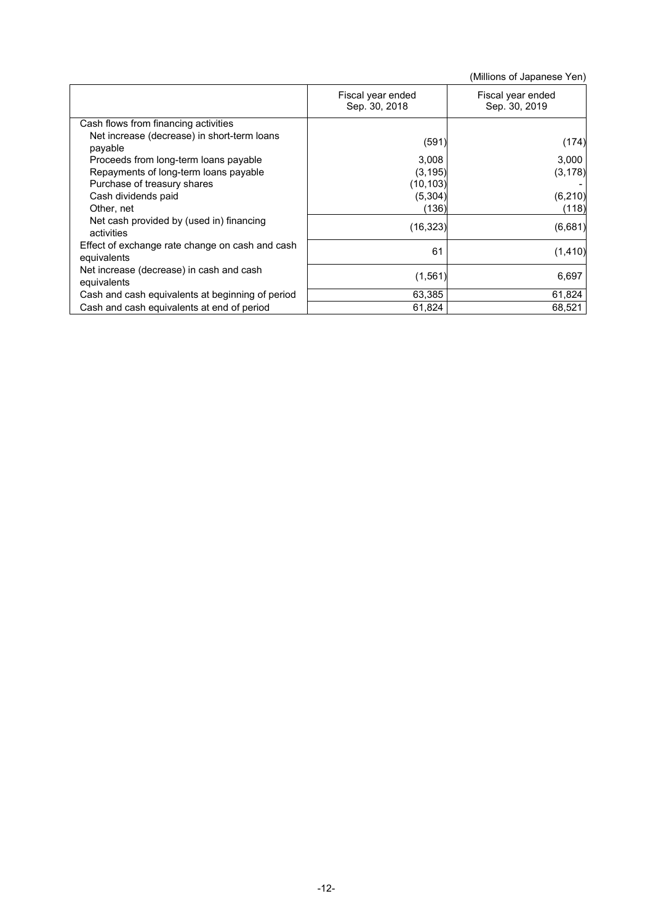|                                                                |                                    | (Millions of Japanese Yen)         |
|----------------------------------------------------------------|------------------------------------|------------------------------------|
|                                                                | Fiscal year ended<br>Sep. 30, 2018 | Fiscal year ended<br>Sep. 30, 2019 |
| Cash flows from financing activities                           |                                    |                                    |
| Net increase (decrease) in short-term loans<br>payable         | (591)                              | (174)                              |
| Proceeds from long-term loans payable                          | 3,008                              | 3,000                              |
| Repayments of long-term loans payable                          | (3, 195)                           | (3, 178)                           |
| Purchase of treasury shares                                    | (10, 103)                          |                                    |
| Cash dividends paid                                            | (5, 304)                           | (6, 210)                           |
| Other, net                                                     | (136)                              | (118)                              |
| Net cash provided by (used in) financing<br>activities         | (16, 323)                          | (6,681)                            |
| Effect of exchange rate change on cash and cash<br>equivalents | 61                                 | (1, 410)                           |
| Net increase (decrease) in cash and cash<br>equivalents        | (1, 561)                           | 6,697                              |
| Cash and cash equivalents at beginning of period               | 63,385                             | 61,824                             |
| Cash and cash equivalents at end of period                     | 61,824                             | 68,521                             |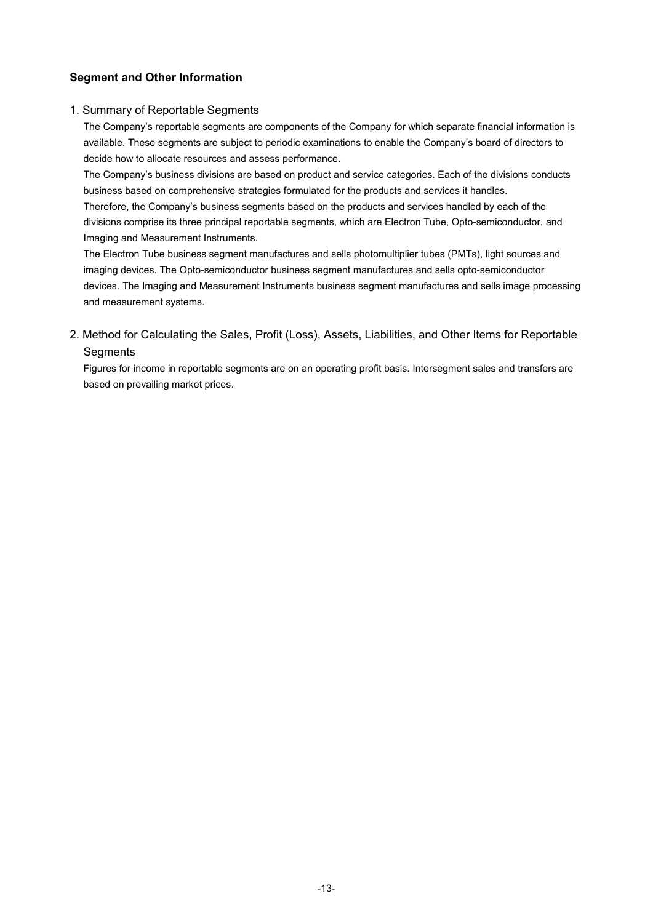## **Segment and Other Information**

### 1. Summary of Reportable Segments

The Company's reportable segments are components of the Company for which separate financial information is available. These segments are subject to periodic examinations to enable the Company's board of directors to decide how to allocate resources and assess performance.

The Company's business divisions are based on product and service categories. Each of the divisions conducts business based on comprehensive strategies formulated for the products and services it handles. Therefore, the Company's business segments based on the products and services handled by each of the divisions comprise its three principal reportable segments, which are Electron Tube, Opto-semiconductor, and Imaging and Measurement Instruments.

The Electron Tube business segment manufactures and sells photomultiplier tubes (PMTs), light sources and imaging devices. The Opto-semiconductor business segment manufactures and sells opto-semiconductor devices. The Imaging and Measurement Instruments business segment manufactures and sells image processing and measurement systems.

## 2. Method for Calculating the Sales, Profit (Loss), Assets, Liabilities, and Other Items for Reportable **Segments**

Figures for income in reportable segments are on an operating profit basis. Intersegment sales and transfers are based on prevailing market prices.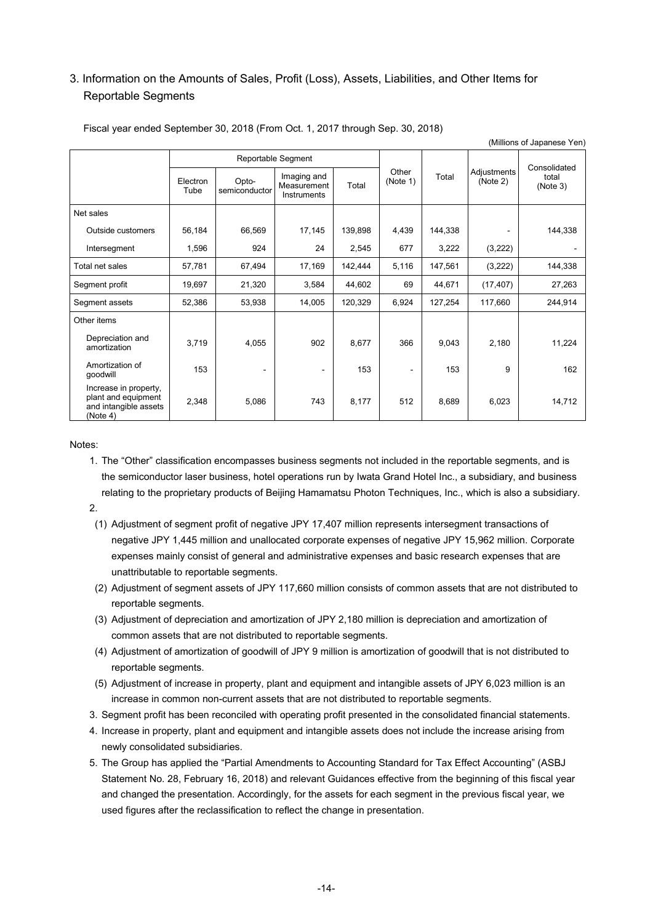# 3. Information on the Amounts of Sales, Profit (Loss), Assets, Liabilities, and Other Items for Reportable Segments

|                                                                                   |                  |                        |                                           |         |                   |         |                         | (Millions of Japanese Yen) |
|-----------------------------------------------------------------------------------|------------------|------------------------|-------------------------------------------|---------|-------------------|---------|-------------------------|----------------------------|
|                                                                                   |                  | Reportable Segment     |                                           |         |                   |         |                         | Consolidated               |
|                                                                                   | Electron<br>Tube | Opto-<br>semiconductor | Imaging and<br>Measurement<br>Instruments | Total   | Other<br>(Note 1) | Total   | Adjustments<br>(Note 2) | total<br>(Note 3)          |
| Net sales                                                                         |                  |                        |                                           |         |                   |         |                         |                            |
| Outside customers                                                                 | 56,184           | 66,569                 | 17,145                                    | 139,898 | 4,439             | 144,338 |                         | 144,338                    |
| Intersegment                                                                      | 1,596            | 924                    | 24                                        | 2,545   | 677               | 3,222   | (3,222)                 |                            |
| Total net sales                                                                   | 57,781           | 67,494                 | 17,169                                    | 142,444 | 5,116             | 147,561 | (3,222)                 | 144,338                    |
| Segment profit                                                                    | 19,697           | 21,320                 | 3,584                                     | 44,602  | 69                | 44,671  | (17, 407)               | 27,263                     |
| Segment assets                                                                    | 52,386           | 53,938                 | 14,005                                    | 120,329 | 6,924             | 127,254 | 117,660                 | 244,914                    |
| Other items                                                                       |                  |                        |                                           |         |                   |         |                         |                            |
| Depreciation and<br>amortization                                                  | 3,719            | 4,055                  | 902                                       | 8,677   | 366               | 9,043   | 2,180                   | 11,224                     |
| Amortization of<br>goodwill                                                       | 153              | $\blacksquare$         |                                           | 153     | ۰                 | 153     | 9                       | 162                        |
| Increase in property,<br>plant and equipment<br>and intangible assets<br>(Note 4) | 2,348            | 5,086                  | 743                                       | 8,177   | 512               | 8,689   | 6,023                   | 14,712                     |

#### Fiscal year ended September 30, 2018 (From Oct. 1, 2017 through Sep. 30, 2018)

Notes:

1. The "Other" classification encompasses business segments not included in the reportable segments, and is the semiconductor laser business, hotel operations run by Iwata Grand Hotel Inc., a subsidiary, and business relating to the proprietary products of Beijing Hamamatsu Photon Techniques, Inc., which is also a subsidiary.

#### 2.

- (1) Adjustment of segment profit of negative JPY 17,407 million represents intersegment transactions of negative JPY 1,445 million and unallocated corporate expenses of negative JPY 15,962 million. Corporate expenses mainly consist of general and administrative expenses and basic research expenses that are unattributable to reportable segments.
- (2) Adjustment of segment assets of JPY 117,660 million consists of common assets that are not distributed to reportable segments.
- (3) Adjustment of depreciation and amortization of JPY 2,180 million is depreciation and amortization of common assets that are not distributed to reportable segments.
- (4) Adjustment of amortization of goodwill of JPY 9 million is amortization of goodwill that is not distributed to reportable segments.
- (5) Adjustment of increase in property, plant and equipment and intangible assets of JPY 6,023 million is an increase in common non-current assets that are not distributed to reportable segments.
- 3. Segment profit has been reconciled with operating profit presented in the consolidated financial statements.
- 4. Increase in property, plant and equipment and intangible assets does not include the increase arising from newly consolidated subsidiaries.
- 5. The Group has applied the "Partial Amendments to Accounting Standard for Tax Effect Accounting" (ASBJ Statement No. 28, February 16, 2018) and relevant Guidances effective from the beginning of this fiscal year and changed the presentation. Accordingly, for the assets for each segment in the previous fiscal year, we used figures after the reclassification to reflect the change in presentation.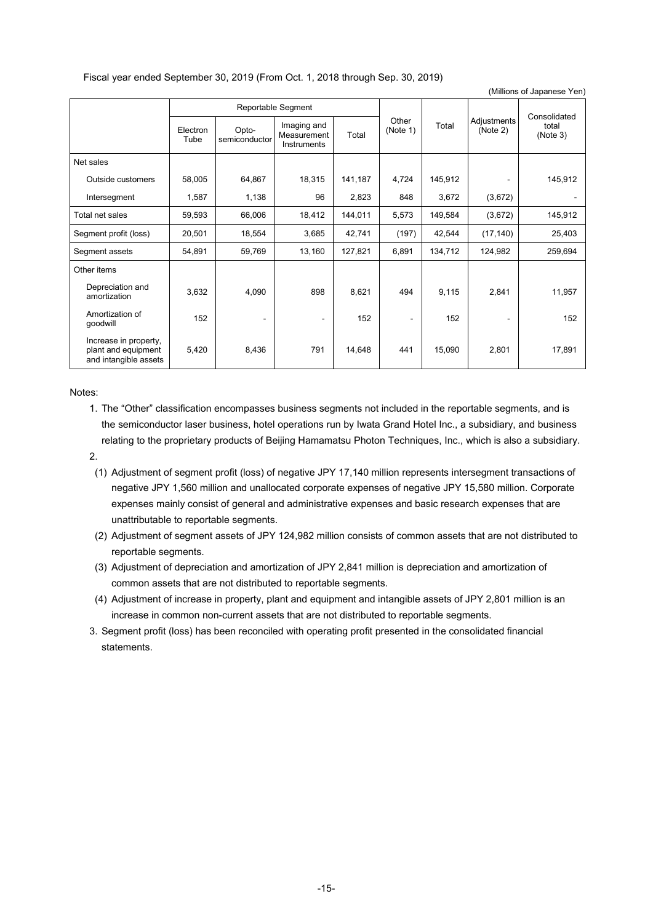#### Fiscal year ended September 30, 2019 (From Oct. 1, 2018 through Sep. 30, 2019)

|                                                                       |                  |                        |                                           |         |                   |         |                         | $\frac{1}{2}$     |
|-----------------------------------------------------------------------|------------------|------------------------|-------------------------------------------|---------|-------------------|---------|-------------------------|-------------------|
|                                                                       |                  |                        | Reportable Segment                        |         |                   |         |                         | Consolidated      |
|                                                                       | Electron<br>Tube | Opto-<br>semiconductor | Imaging and<br>Measurement<br>Instruments | Total   | Other<br>(Note 1) | Total   | Adjustments<br>(Note 2) | total<br>(Note 3) |
| Net sales                                                             |                  |                        |                                           |         |                   |         |                         |                   |
| Outside customers                                                     | 58,005           | 64,867                 | 18,315                                    | 141,187 | 4,724             | 145,912 |                         | 145,912           |
| Intersegment                                                          | 1,587            | 1,138                  | 96                                        | 2,823   | 848               | 3,672   | (3,672)                 |                   |
| Total net sales                                                       | 59,593           | 66,006                 | 18,412                                    | 144,011 | 5,573             | 149,584 | (3,672)                 | 145,912           |
| Segment profit (loss)                                                 | 20,501           | 18,554                 | 3,685                                     | 42,741  | (197)             | 42,544  | (17, 140)               | 25,403            |
| Segment assets                                                        | 54,891           | 59,769                 | 13,160                                    | 127,821 | 6,891             | 134,712 | 124,982                 | 259,694           |
| Other items                                                           |                  |                        |                                           |         |                   |         |                         |                   |
| Depreciation and<br>amortization                                      | 3,632            | 4,090                  | 898                                       | 8,621   | 494               | 9,115   | 2,841                   | 11,957            |
| Amortization of<br>goodwill                                           | 152              | $\blacksquare$         | $\blacksquare$                            | 152     | ۰                 | 152     |                         | 152               |
| Increase in property,<br>plant and equipment<br>and intangible assets | 5,420            | 8,436                  | 791                                       | 14,648  | 441               | 15,090  | 2,801                   | 17,891            |

(Millions of Japanese Yen)

Notes:

- 1. The "Other" classification encompasses business segments not included in the reportable segments, and is the semiconductor laser business, hotel operations run by Iwata Grand Hotel Inc., a subsidiary, and business relating to the proprietary products of Beijing Hamamatsu Photon Techniques, Inc., which is also a subsidiary.
- 2.
	- (1) Adjustment of segment profit (loss) of negative JPY 17,140 million represents intersegment transactions of negative JPY 1,560 million and unallocated corporate expenses of negative JPY 15,580 million. Corporate expenses mainly consist of general and administrative expenses and basic research expenses that are unattributable to reportable segments.
	- (2) Adjustment of segment assets of JPY 124,982 million consists of common assets that are not distributed to reportable segments.
	- (3) Adjustment of depreciation and amortization of JPY 2,841 million is depreciation and amortization of common assets that are not distributed to reportable segments.
	- (4) Adjustment of increase in property, plant and equipment and intangible assets of JPY 2,801 million is an increase in common non-current assets that are not distributed to reportable segments.
- 3. Segment profit (loss) has been reconciled with operating profit presented in the consolidated financial statements.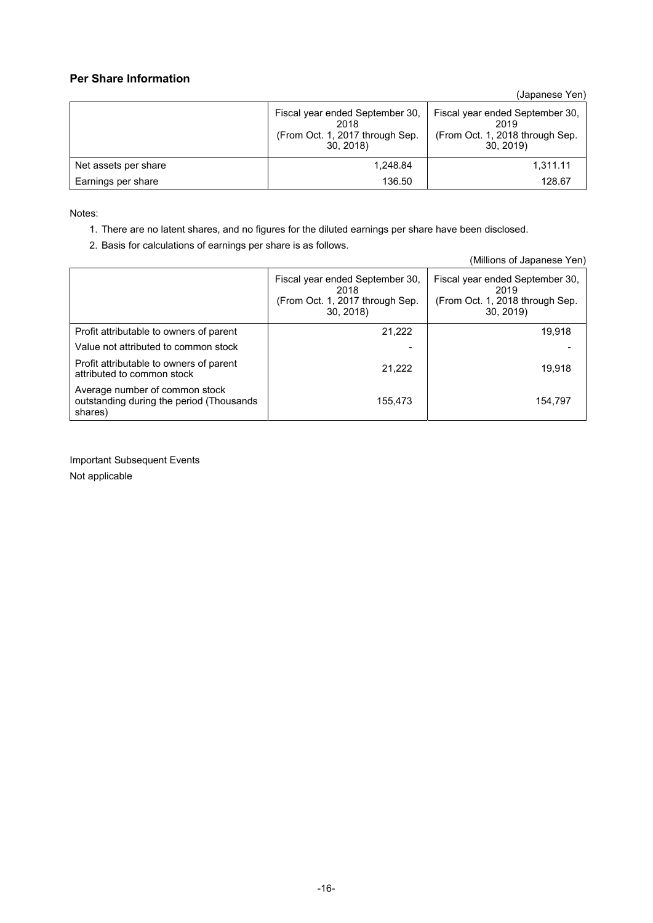## **Per Share Information**

(Japanese Yen)

|                      | Fiscal year ended September 30,<br>2018<br>(From Oct. 1, 2017 through Sep.<br>30, 2018 | Fiscal year ended September 30,<br>2019<br>(From Oct. 1, 2018 through Sep.<br>30.2019 |
|----------------------|----------------------------------------------------------------------------------------|---------------------------------------------------------------------------------------|
| Net assets per share | 1.248.84                                                                               | 1,311.11                                                                              |
| Earnings per share   | 136.50                                                                                 | 128.67                                                                                |

Notes:

- 1. There are no latent shares, and no figures for the diluted earnings per share have been disclosed.
- 2. Basis for calculations of earnings per share is as follows.

|                                                                                       |                                                                                        | (Millions of Japanese Yen)                                                             |
|---------------------------------------------------------------------------------------|----------------------------------------------------------------------------------------|----------------------------------------------------------------------------------------|
|                                                                                       | Fiscal year ended September 30,<br>2018<br>(From Oct. 1, 2017 through Sep.<br>30, 2018 | Fiscal year ended September 30,<br>2019<br>(From Oct. 1, 2018 through Sep.<br>30, 2019 |
| Profit attributable to owners of parent                                               | 21,222                                                                                 | 19,918                                                                                 |
| Value not attributed to common stock                                                  |                                                                                        |                                                                                        |
| Profit attributable to owners of parent<br>attributed to common stock                 | 21.222                                                                                 | 19.918                                                                                 |
| Average number of common stock<br>outstanding during the period (Thousands<br>shares) | 155.473                                                                                | 154.797                                                                                |

Important Subsequent Events Not applicable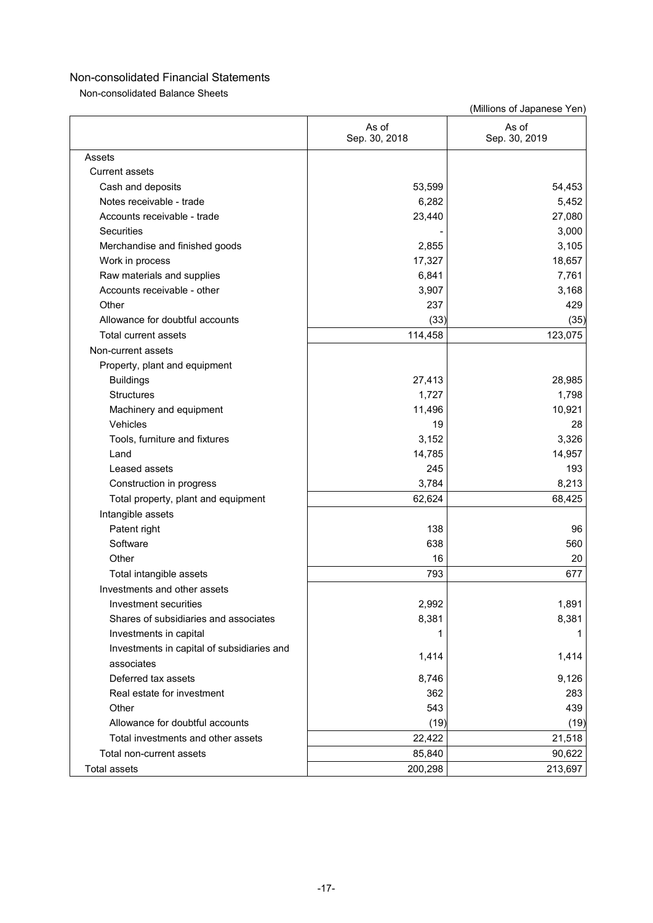Non-consolidated Balance Sheets

|                                            | As of<br>Sep. 30, 2018 | As of<br>Sep. 30, 2019 |
|--------------------------------------------|------------------------|------------------------|
| Assets                                     |                        |                        |
| <b>Current assets</b>                      |                        |                        |
| Cash and deposits                          | 53,599                 | 54,453                 |
| Notes receivable - trade                   | 6,282                  | 5,452                  |
| Accounts receivable - trade                | 23,440                 | 27,080                 |
| <b>Securities</b>                          |                        | 3,000                  |
| Merchandise and finished goods             | 2,855                  | 3,105                  |
| Work in process                            | 17,327                 | 18,657                 |
| Raw materials and supplies                 | 6,841                  | 7,761                  |
| Accounts receivable - other                | 3,907                  | 3,168                  |
| Other                                      | 237                    | 429                    |
| Allowance for doubtful accounts            | (33)                   | (35)                   |
| Total current assets                       | 114,458                | 123,075                |
| Non-current assets                         |                        |                        |
| Property, plant and equipment              |                        |                        |
| <b>Buildings</b>                           | 27,413                 | 28,985                 |
| <b>Structures</b>                          | 1,727                  | 1,798                  |
| Machinery and equipment                    | 11,496                 | 10,921                 |
| Vehicles                                   | 19                     | 28                     |
| Tools, furniture and fixtures              | 3,152                  | 3,326                  |
| Land                                       | 14,785                 | 14,957                 |
| Leased assets                              | 245                    | 193                    |
| Construction in progress                   | 3,784                  | 8,213                  |
| Total property, plant and equipment        | 62,624                 | 68,425                 |
| Intangible assets                          |                        |                        |
| Patent right                               | 138                    | 96                     |
| Software                                   | 638                    | 560                    |
| Other                                      | 16                     | 20                     |
| Total intangible assets                    | 793                    | 677                    |
| Investments and other assets               |                        |                        |
| Investment securities                      | 2,992                  | 1,891                  |
| Shares of subsidiaries and associates      | 8,381                  | 8,381                  |
| Investments in capital                     |                        |                        |
| Investments in capital of subsidiaries and |                        |                        |
| associates                                 | 1,414                  | 1,414                  |
| Deferred tax assets                        | 8,746                  | 9,126                  |
| Real estate for investment                 | 362                    | 283                    |
| Other                                      | 543                    | 439                    |
| Allowance for doubtful accounts            | (19)                   | (19)                   |
| Total investments and other assets         | 22,422                 | 21,518                 |
| Total non-current assets                   | 85,840                 | 90,622                 |
| <b>Total assets</b>                        | 200,298                | 213,697                |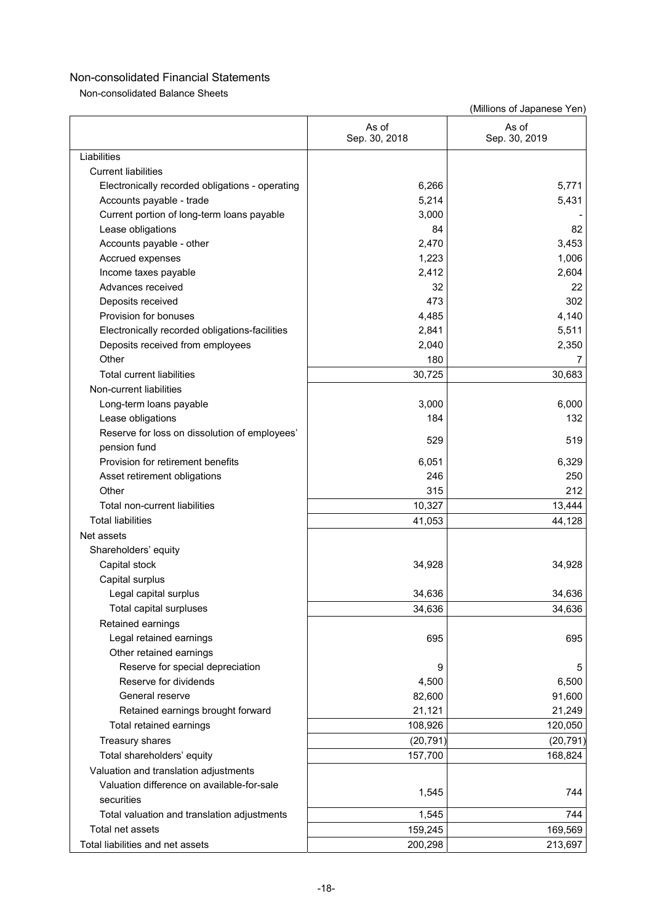Non-consolidated Balance Sheets

|                                                 | As of<br>Sep. 30, 2018 | As of<br>Sep. 30, 2019 |
|-------------------------------------------------|------------------------|------------------------|
| Liabilities                                     |                        |                        |
| <b>Current liabilities</b>                      |                        |                        |
| Electronically recorded obligations - operating | 6,266                  | 5,771                  |
| Accounts payable - trade                        | 5,214                  | 5,431                  |
| Current portion of long-term loans payable      | 3,000                  |                        |
| Lease obligations                               | 84                     | 82                     |
| Accounts payable - other                        | 2,470                  | 3,453                  |
| Accrued expenses                                | 1,223                  | 1,006                  |
| Income taxes payable                            | 2,412                  | 2,604                  |
| Advances received                               | 32                     | 22                     |
| Deposits received                               | 473                    | 302                    |
| Provision for bonuses                           | 4,485                  | 4,140                  |
| Electronically recorded obligations-facilities  | 2,841                  | 5,511                  |
| Deposits received from employees                | 2,040                  | 2,350                  |
| Other                                           | 180                    |                        |
| <b>Total current liabilities</b>                | 30,725                 | 30,683                 |
| Non-current liabilities                         |                        |                        |
| Long-term loans payable                         | 3,000                  | 6,000                  |
| Lease obligations                               | 184                    | 132                    |
| Reserve for loss on dissolution of employees'   |                        |                        |
| pension fund                                    | 529                    | 519                    |
| Provision for retirement benefits               | 6,051                  | 6,329                  |
| Asset retirement obligations                    | 246                    | 250                    |
| Other                                           | 315                    | 212                    |
| Total non-current liabilities                   | 10,327                 | 13,444                 |
| <b>Total liabilities</b>                        | 41,053                 | 44,128                 |
| Net assets                                      |                        |                        |
| Shareholders' equity                            |                        |                        |
| Capital stock                                   | 34,928                 | 34,928                 |
| Capital surplus                                 |                        |                        |
| Legal capital surplus                           | 34,636                 | 34,636                 |
| Total capital surpluses                         | 34,636                 | 34,636                 |
| Retained earnings                               |                        |                        |
| Legal retained earnings                         | 695                    | 695                    |
| Other retained earnings                         |                        |                        |
| Reserve for special depreciation                | 9                      | 5                      |
| Reserve for dividends                           | 4,500                  | 6,500                  |
| General reserve                                 | 82,600                 | 91,600                 |
| Retained earnings brought forward               | 21,121                 | 21,249                 |
| Total retained earnings                         | 108,926                | 120,050                |
| Treasury shares                                 | (20, 791)              | (20, 791)              |
| Total shareholders' equity                      | 157,700                | 168,824                |
| Valuation and translation adjustments           |                        |                        |
| Valuation difference on available-for-sale      |                        |                        |
| securities                                      | 1,545                  | 744                    |
| Total valuation and translation adjustments     | 1,545                  | 744                    |
| Total net assets                                | 159,245                | 169,569                |
| Total liabilities and net assets                | 200,298                | 213,697                |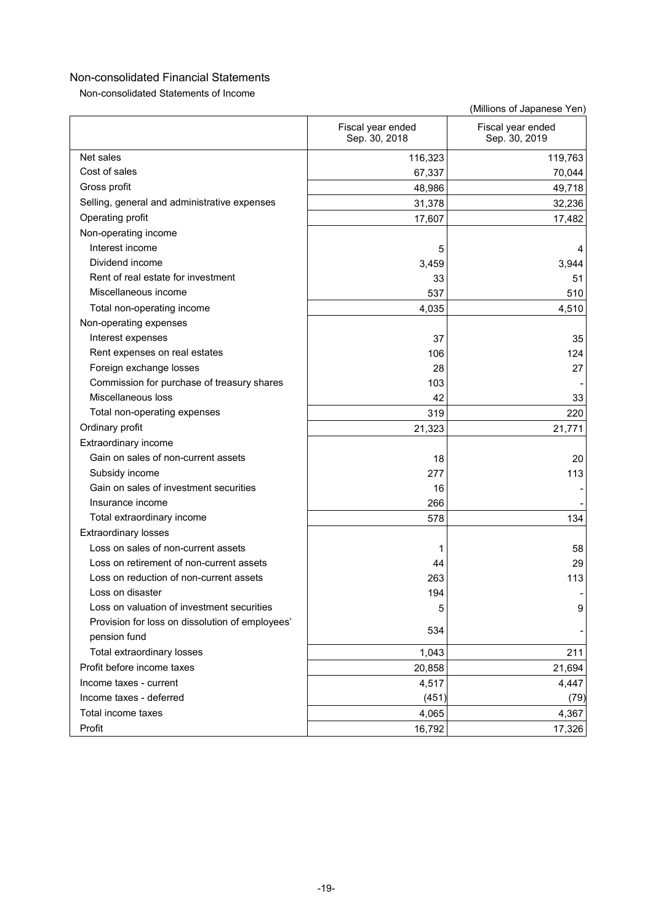Non-consolidated Statements of Income

|                                                 | Fiscal year ended<br>Sep. 30, 2018 | Fiscal year ended<br>Sep. 30, 2019 |
|-------------------------------------------------|------------------------------------|------------------------------------|
| Net sales                                       | 116,323                            | 119,763                            |
| Cost of sales                                   | 67,337                             | 70,044                             |
| Gross profit                                    | 48,986                             | 49,718                             |
| Selling, general and administrative expenses    | 31,378                             | 32,236                             |
| Operating profit                                | 17,607                             | 17,482                             |
| Non-operating income                            |                                    |                                    |
| Interest income                                 | 5                                  | 4                                  |
| Dividend income                                 | 3,459                              | 3,944                              |
| Rent of real estate for investment              | 33                                 | 51                                 |
| Miscellaneous income                            | 537                                | 510                                |
| Total non-operating income                      | 4,035                              | 4,510                              |
| Non-operating expenses                          |                                    |                                    |
| Interest expenses                               | 37                                 | 35                                 |
| Rent expenses on real estates                   | 106                                | 124                                |
| Foreign exchange losses                         | 28                                 | 27                                 |
| Commission for purchase of treasury shares      | 103                                |                                    |
| Miscellaneous loss                              | 42                                 | 33                                 |
| Total non-operating expenses                    | 319                                | 220                                |
| Ordinary profit                                 | 21,323                             | 21,771                             |
| Extraordinary income                            |                                    |                                    |
| Gain on sales of non-current assets             | 18                                 | 20                                 |
| Subsidy income                                  | 277                                | 113                                |
| Gain on sales of investment securities          | 16                                 |                                    |
| Insurance income                                | 266                                |                                    |
| Total extraordinary income                      | 578                                | 134                                |
| <b>Extraordinary losses</b>                     |                                    |                                    |
| Loss on sales of non-current assets             | 1                                  | 58                                 |
| Loss on retirement of non-current assets        | 44                                 | 29                                 |
| Loss on reduction of non-current assets         | 263                                | 113                                |
| Loss on disaster                                | 194                                |                                    |
| Loss on valuation of investment securities      | 5                                  | 9                                  |
| Provision for loss on dissolution of employees' | 534                                |                                    |
| pension fund                                    |                                    |                                    |
| Total extraordinary losses                      | 1,043                              | 211                                |
| Profit before income taxes                      | 20,858                             | 21,694                             |
| Income taxes - current                          | 4,517                              | 4,447                              |
| Income taxes - deferred                         | (451)                              | (79)                               |
| Total income taxes                              | 4,065                              | 4,367                              |
| Profit                                          | 16,792                             | 17,326                             |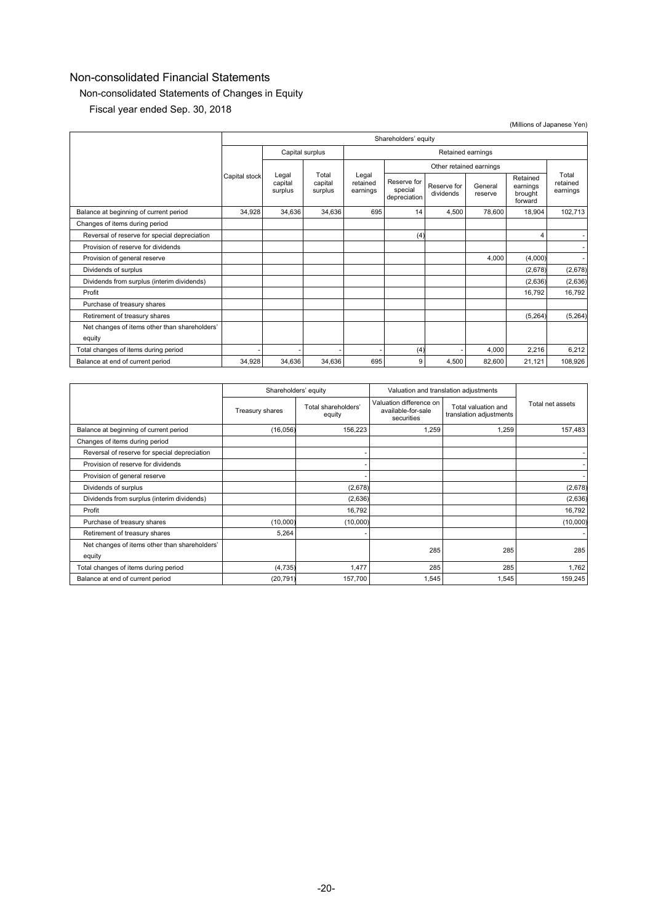# Non-consolidated Statements of Changes in Equity

Fiscal year ended Sep. 30, 2018

|                                                         |                      |                                                            |                               |                                        |                          |                         |                                            |                               | (Millions of Japanese Yen) |
|---------------------------------------------------------|----------------------|------------------------------------------------------------|-------------------------------|----------------------------------------|--------------------------|-------------------------|--------------------------------------------|-------------------------------|----------------------------|
|                                                         | Shareholders' equity |                                                            |                               |                                        |                          |                         |                                            |                               |                            |
|                                                         |                      | Capital surplus                                            |                               |                                        | Retained earnings        |                         |                                            |                               |                            |
|                                                         |                      |                                                            |                               |                                        |                          | Other retained earnings |                                            |                               |                            |
|                                                         | Capital stock        | Total<br>Legal<br>capital<br>capital<br>surplus<br>surplus | Legal<br>retained<br>earnings | Reserve for<br>special<br>depreciation | Reserve for<br>dividends | General<br>reserve      | Retained<br>earnings<br>brought<br>forward | Total<br>retained<br>earnings |                            |
| Balance at beginning of current period                  | 34,928               | 34.636                                                     | 34.636                        | 695                                    | 14                       | 4,500                   | 78,600                                     | 18,904                        | 102,713                    |
| Changes of items during period                          |                      |                                                            |                               |                                        |                          |                         |                                            |                               |                            |
| Reversal of reserve for special depreciation            |                      |                                                            |                               |                                        | (4)                      |                         |                                            | 4                             |                            |
| Provision of reserve for dividends                      |                      |                                                            |                               |                                        |                          |                         |                                            |                               |                            |
| Provision of general reserve                            |                      |                                                            |                               |                                        |                          |                         | 4,000                                      | (4,000)                       | ٠                          |
| Dividends of surplus                                    |                      |                                                            |                               |                                        |                          |                         |                                            | (2,678)                       | (2,678)                    |
| Dividends from surplus (interim dividends)              |                      |                                                            |                               |                                        |                          |                         |                                            | (2,636)                       | (2,636)                    |
| Profit                                                  |                      |                                                            |                               |                                        |                          |                         |                                            | 16,792                        | 16,792                     |
| Purchase of treasury shares                             |                      |                                                            |                               |                                        |                          |                         |                                            |                               |                            |
| Retirement of treasury shares                           |                      |                                                            |                               |                                        |                          |                         |                                            | (5,264)                       | (5,264)                    |
| Net changes of items other than shareholders'<br>equity |                      |                                                            |                               |                                        |                          |                         |                                            |                               |                            |
| Total changes of items during period                    |                      |                                                            |                               |                                        | (4)                      |                         | 4,000                                      | 2,216                         | 6,212                      |
| Balance at end of current period                        | 34,928               | 34,636                                                     | 34.636                        | 695                                    | 9                        | 4,500                   | 82,600                                     | 21,121                        | 108,926                    |

|                                                         | Shareholders' equity |                               | Valuation and translation adjustments                       |                                                |                  |
|---------------------------------------------------------|----------------------|-------------------------------|-------------------------------------------------------------|------------------------------------------------|------------------|
|                                                         | Treasury shares      | Total shareholders'<br>equity | Valuation difference on<br>available-for-sale<br>securities | Total valuation and<br>translation adjustments | Total net assets |
| Balance at beginning of current period                  | (16, 056)            | 156,223                       | 1,259                                                       | 1,259                                          | 157,483          |
| Changes of items during period                          |                      |                               |                                                             |                                                |                  |
| Reversal of reserve for special depreciation            |                      |                               |                                                             |                                                |                  |
| Provision of reserve for dividends                      |                      |                               |                                                             |                                                |                  |
| Provision of general reserve                            |                      |                               |                                                             |                                                |                  |
| Dividends of surplus                                    |                      | (2,678)                       |                                                             |                                                | (2,678)          |
| Dividends from surplus (interim dividends)              |                      | (2,636)                       |                                                             |                                                | (2,636)          |
| Profit                                                  |                      | 16,792                        |                                                             |                                                | 16,792           |
| Purchase of treasury shares                             | (10,000)             | (10,000)                      |                                                             |                                                | (10,000)         |
| Retirement of treasury shares                           | 5,264                |                               |                                                             |                                                |                  |
| Net changes of items other than shareholders'<br>equity |                      |                               | 285                                                         | 285                                            | 285              |
| Total changes of items during period                    | (4, 735)             | 1,477                         | 285                                                         | 285                                            | 1,762            |
| Balance at end of current period                        | (20, 791)            | 157,700                       | 1,545                                                       | 1,545                                          | 159,245          |